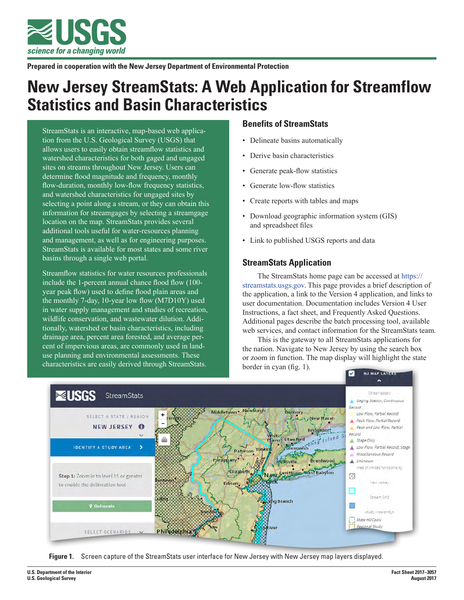

**Prepared in cooperation with the New Jersey Department of Environmental Protection**

# **New Jersey StreamStats: A Web Application for Streamflow Statistics and Basin Characteristics**

StreamStats is an interactive, map-based web application from the U.S. Geological Survey (USGS) that allows users to easily obtain streamflow statistics and watershed characteristics for both gaged and ungaged sites on streams throughout New Jersey. Users can determine flood magnitude and frequency, monthly flow-duration, monthly low-flow frequency statistics, and watershed characteristics for ungaged sites by selecting a point along a stream, or they can obtain this information for streamgages by selecting a streamgage location on the map. StreamStats provides several additional tools useful for water-resources planning and management, as well as for engineering purposes. StreamStats is available for most states and some river basins through a single web portal.

Streamflow statistics for water resources professionals include the 1-percent annual chance flood flow (100 year peak flow) used to define flood plain areas and the monthly 7-day, 10-year low flow (M7D10Y) used in water supply management and studies of recreation, wildlife conservation, and wastewater dilution. Additionally, watershed or basin characteristics, including drainage area, percent area forested, and average percent of impervious areas, are commonly used in landuse planning and environmental assessments. These characteristics are easily derived through StreamStats.

# **Benefits of StreamStats**

- Delineate basins automatically
- Derive basin characteristics
- Generate peak-flow statistics
- Generate low-flow statistics
- Create reports with tables and maps
- Download geographic information system (GIS) and spreadsheet files
- Link to published USGS reports and data

# **StreamStats Application**

The StreamStats home page can be accessed at [https://](https://streamstats.usgs.gov) [streamstats.usgs.gov.](https://streamstats.usgs.gov) This page provides a brief description of the application, a link to the Version 4 application, and links to user documentation. Documentation includes Version 4 User Instructions, a fact sheet, and Frequently Asked Questions. Additional pages describe the batch processing tool, available web services, and contact information for the StreamStats team.

This is the gateway to all StreamStats applications for the nation. Navigate to New Jersey by using the search box or zoom in function. The map display will highlight the state border in cyan (fig. 1).



**Figure 1.** Screen capture of the StreamStats user interface for New Jersey with New Jersey map layers displayed.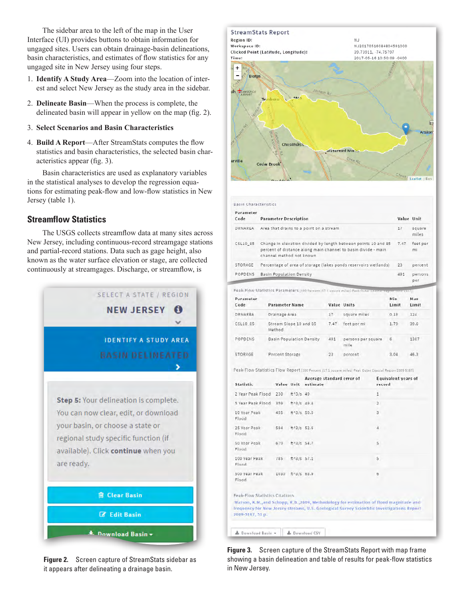The sidebar area to the left of the map in the User Interface (UI) provides buttons to obtain information for ungaged sites. Users can obtain drainage-basin delineations, basin characteristics, and estimates of flow statistics for any ungaged site in New Jersey using four steps.

- 1. **Identify A Study Area**—Zoom into the location of interest and select New Jersey as the study area in the sidebar.
- 2. **Delineate Basin**—When the process is complete, the delineated basin will appear in yellow on the map (fig. 2).
- 3. **Select Scenarios and Basin Characteristics**
- 4. **Build A Report**—After StreamStats computes the flow statistics and basin characteristics, the selected basin characteristics appear (fig. 3).

Basin characteristics are used as explanatory variables in the statistical analyses to develop the regression equations for estimating peak-flow and low-flow statistics in New Jersey (table 1).

# **Streamflow Statistics**

The USGS collects streamflow data at many sites across New Jersey, including continuous-record streamgage stations and partial-record stations. Data such as gage height, also known as the water surface elevation or stage, are collected continuously at streamgages. Discharge, or streamflow, is



**Figure 2.** Screen capture of StreamStats sidebar as it appears after delineating a drainage basin.



| Parameter<br>Code | <b>Parameter Description</b>                                                                                                                                | Value Unit |                 |
|-------------------|-------------------------------------------------------------------------------------------------------------------------------------------------------------|------------|-----------------|
| DRNAREA           | Area that drains to a point on a stream                                                                                                                     | 17         | square<br>miles |
| CSL10 85          | Change in elevation divided by length between points 10 and 85<br>percent of distance along main channel to basin divide - main<br>channel method not known | 7.47       | feet per<br>mi  |
| STORAGE           | Percentage of area of storage (lakes ponds reservoirs wetlands)                                                                                             | 23         | percent         |
| POPDENS           | <b>Basin Population Density</b>                                                                                                                             | 491        | persons<br>per  |

| Code     | <b>Parameter Name</b>            |      | Value Units                | Limit | Limit |
|----------|----------------------------------|------|----------------------------|-------|-------|
| DRNAREA  | Drainage Area                    | 17   | square miles               | 0.18  | 124   |
| CSL10 85 | Stream Slope 10 and 85<br>Method | 7.47 | feet per mi                | 1.79  | 39.6  |
| POPDENS  | <b>Basin Population Density</b>  | 491  | persons per square<br>mile | 6     | 1387  |
| STORAGE  | Percent Storage                  | 23   | percent                    | 3.04  | 46.3  |

Peak-Flow Statistics Flow Report (100 Percent (17.1 square miles) Peak Duter Coastal Region 2009 5167)

| <b>Statistic</b>               |      | Value Unit     | Average standard error of<br>estimate                                                                                                                                                | <b>Equivalent years of</b><br>record |
|--------------------------------|------|----------------|--------------------------------------------------------------------------------------------------------------------------------------------------------------------------------------|--------------------------------------|
| 2 Year Peak Flood              | 230  | $ft^{4}3/s$ 49 |                                                                                                                                                                                      | $\mathbf{1}$                         |
| 5 Year Peak Flood              | 359  | ftA3/S.49.4    |                                                                                                                                                                                      | $\overline{2}$                       |
| 10 Year Peak<br>Flood          | 455  | ft43/s 50.5    |                                                                                                                                                                                      | 3                                    |
| 25 Year Peak<br>Flood          | 584  | HA3/s 52.6     |                                                                                                                                                                                      | $\overline{4}$                       |
| 50 Year Peak<br>Flood          | 679  | ft43/s 54.7    |                                                                                                                                                                                      | 5                                    |
| 100 Year Peak<br>Flood         | 785  | $ftA3/s$ 57.1  |                                                                                                                                                                                      | $\mathsf{S}$                         |
| 500 Year Peak<br>Flood         | 1030 | ft43/s 63.9    |                                                                                                                                                                                      | $\ddot{\sigma}$                      |
| Peak-Flow Statistics Citations |      |                |                                                                                                                                                                                      |                                      |
| 2009-5167, 51 p.               |      |                | Walson, K.M., and Schopp, R.D., 2009, Methodology for estimation of flood magnitude and<br>frequency for New Jersey streams, U.S. Geological Survey Scientific Investigations Report |                                      |

**Figure 3.** Screen capture of the StreamStats Report with map frame showing a basin delineation and table of results for peak-flow statistics in New Jersey.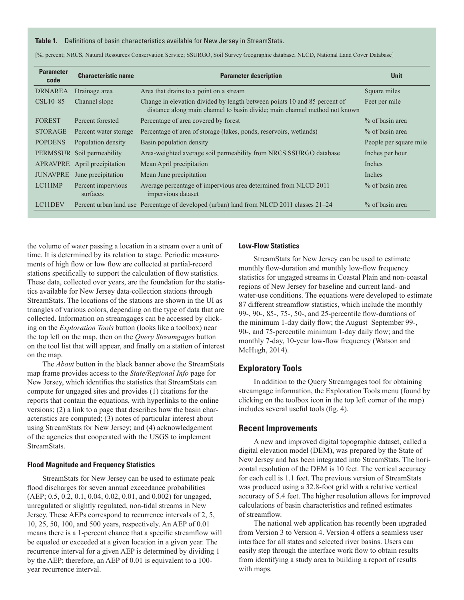#### **Table 1.** Definitions of basin characteristics available for New Jersey in StreamStats.

| <b>Parameter</b><br>code | <b>Characteristic name</b>     | <b>Parameter description</b>                                                                                                                            | <b>Unit</b>            |
|--------------------------|--------------------------------|---------------------------------------------------------------------------------------------------------------------------------------------------------|------------------------|
| <b>DRNAREA</b>           | Drainage area                  | Area that drains to a point on a stream                                                                                                                 | Square miles           |
| <b>CSL10 85</b>          | Channel slope                  | Change in elevation divided by length between points 10 and 85 percent of<br>distance along main channel to basin divide; main channel method not known | Feet per mile          |
| <b>FOREST</b>            | Percent forested               | Percentage of area covered by forest                                                                                                                    | % of basin area        |
| <b>STORAGE</b>           | Percent water storage          | Percentage of area of storage (lakes, ponds, reservoirs, wetlands)                                                                                      | % of basin area        |
| <b>POPDENS</b>           | Population density             | Basin population density                                                                                                                                | People per square mile |
|                          | PERMSSUR Soil permeability     | Area-weighted average soil permeability from NRCS SSURGO database                                                                                       | Inches per hour        |
|                          | APRAVPRE April precipitation   | Mean April precipitation                                                                                                                                | Inches                 |
| <b>JUNAVPRE</b>          | June precipitation             | Mean June precipitation                                                                                                                                 | Inches                 |
| LC11IMP                  | Percent impervious<br>surfaces | Average percentage of impervious area determined from NLCD 2011<br>impervious dataset                                                                   | % of basin area        |
| LC11DEV                  |                                | Percent urban land use Percentage of developed (urban) land from NLCD 2011 classes 21–24                                                                | % of basin area        |

[%, percent; NRCS, Natural Resources Conservation Service; SSURGO, Soil Survey Geographic database; NLCD, National Land Cover Database]

the volume of water passing a location in a stream over a unit of time. It is determined by its relation to stage. Periodic measurements of high flow or low flow are collected at partial-record stations specifically to support the calculation of flow statistics. These data, collected over years, are the foundation for the statistics available for New Jersey data-collection stations through StreamStats. The locations of the stations are shown in the UI as triangles of various colors, depending on the type of data that are collected. Information on streamgages can be accessed by clicking on the *Exploration Tools* button (looks like a toolbox) near the top left on the map, then on the *Query Streamgages* button on the tool list that will appear, and finally on a station of interest on the map.

The *About* button in the black banner above the StreamStats map frame provides access to the *State/Regional Info* page for New Jersey, which identifies the statistics that StreamStats can compute for ungaged sites and provides (1) citations for the reports that contain the equations, with hyperlinks to the online versions; (2) a link to a page that describes how the basin characteristics are computed; (3) notes of particular interest about using StreamStats for New Jersey; and (4) acknowledgement of the agencies that cooperated with the USGS to implement StreamStats.

#### **Flood Magnitude and Frequency Statistics**

StreamStats for New Jersey can be used to estimate peak flood discharges for seven annual exceedance probabilities (AEP; 0.5, 0.2, 0.1, 0.04, 0.02, 0.01, and 0.002) for ungaged, unregulated or slightly regulated, non-tidal streams in New Jersey. These AEPs correspond to recurrence intervals of 2, 5, 10, 25, 50, 100, and 500 years, respectively. An AEP of 0.01 means there is a 1-percent chance that a specific streamflow will be equaled or exceeded at a given location in a given year. The recurrence interval for a given AEP is determined by dividing 1 by the AEP; therefore, an AEP of 0.01 is equivalent to a 100 year recurrence interval.

#### **Low-Flow Statistics**

StreamStats for New Jersey can be used to estimate monthly flow-duration and monthly low-flow frequency statistics for ungaged streams in Coastal Plain and non-coastal regions of New Jersey for baseline and current land- and water-use conditions. The equations were developed to estimate 87 different streamflow statistics, which include the monthly 99-, 90-, 85-, 75-, 50-, and 25-percentile flow-durations of the minimum 1-day daily flow; the August–September 99-, 90-, and 75-percentile minimum 1-day daily flow; and the monthly 7-day, 10-year low-flow frequency (Watson and McHugh, 2014).

## **Exploratory Tools**

In addition to the Query Streamgages tool for obtaining streamgage information, the Exploration Tools menu (found by clicking on the toolbox icon in the top left corner of the map) includes several useful tools (fig. 4).

#### **Recent Improvements**

A new and improved digital topographic dataset, called a digital elevation model (DEM), was prepared by the State of New Jersey and has been integrated into StreamStats. The horizontal resolution of the DEM is 10 feet. The vertical accuracy for each cell is 1.1 feet. The previous version of StreamStats was produced using a 32.8-foot grid with a relative vertical accuracy of 5.4 feet. The higher resolution allows for improved calculations of basin characteristics and refined estimates of streamflow.

The national web application has recently been upgraded from Version 3 to Version 4. Version 4 offers a seamless user interface for all states and selected river basins. Users can easily step through the interface work flow to obtain results from identifying a study area to building a report of results with maps.